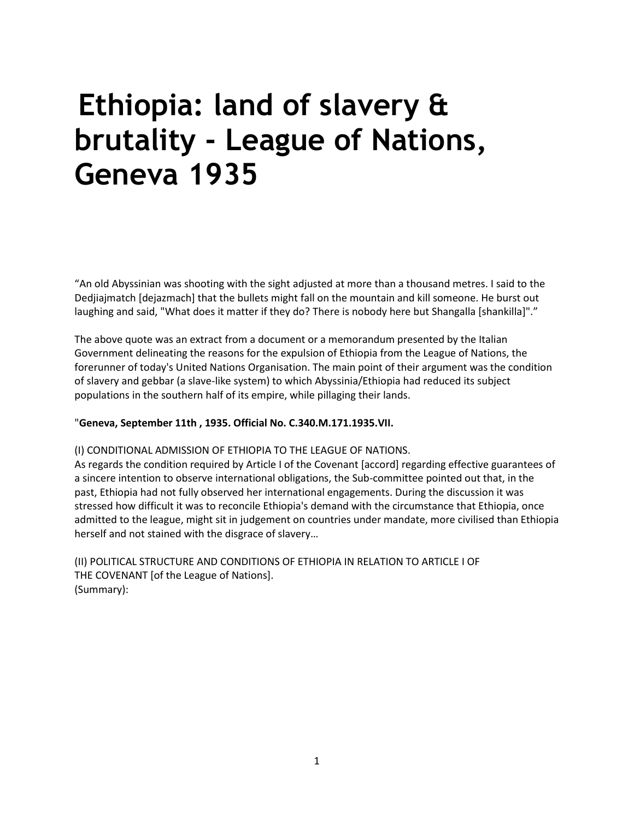# **Ethiopia: land of slavery & brutality - League of Nations, Geneva 1935**

"An old Abyssinian was shooting with the sight adjusted at more than a thousand metres. I said to the Dedjiajmatch [dejazmach] that the bullets might fall on the mountain and kill someone. He burst out laughing and said, "What does it matter if they do? There is nobody here but Shangalla [shankilla]"."

The above quote was an extract from a document or a memorandum presented by the Italian Government delineating the reasons for the expulsion of Ethiopia from the League of Nations, the forerunner of today's United Nations Organisation. The main point of their argument was the condition of slavery and gebbar (a slave-like system) to which Abyssinia/Ethiopia had reduced its subject populations in the southern half of its empire, while pillaging their lands.

### "**Geneva, September 11th , 1935. Official No. C.340.M.171.1935.VII.**

### (I) CONDITIONAL ADMISSION OF ETHIOPIA TO THE LEAGUE OF NATIONS.

As regards the condition required by Article I of the Covenant [accord] regarding effective guarantees of a sincere intention to observe international obligations, the Sub-committee pointed out that, in the past, Ethiopia had not fully observed her international engagements. During the discussion it was stressed how difficult it was to reconcile Ethiopia's demand with the circumstance that Ethiopia, once admitted to the league, might sit in judgement on countries under mandate, more civilised than Ethiopia herself and not stained with the disgrace of slavery…

(II) POLITICAL STRUCTURE AND CONDITIONS OF ETHIOPIA IN RELATION TO ARTICLE I OF THE COVENANT [of the League of Nations]. (Summary):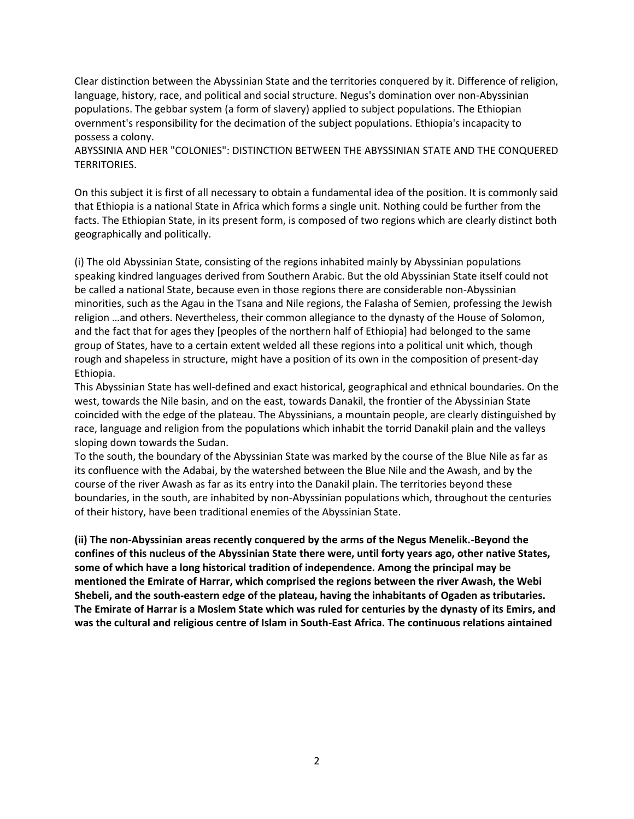Clear distinction between the Abyssinian State and the territories conquered by it. Difference of religion, language, history, race, and political and social structure. Negus's domination over non-Abyssinian populations. The gebbar system (a form of slavery) applied to subject populations. The Ethiopian overnment's responsibility for the decimation of the subject populations. Ethiopia's incapacity to possess a colony.

ABYSSINIA AND HER "COLONIES": DISTINCTION BETWEEN THE ABYSSINIAN STATE AND THE CONQUERED TERRITORIES.

On this subject it is first of all necessary to obtain a fundamental idea of the position. It is commonly said that Ethiopia is a national State in Africa which forms a single unit. Nothing could be further from the facts. The Ethiopian State, in its present form, is composed of two regions which are clearly distinct both geographically and politically.

(i) The old Abyssinian State, consisting of the regions inhabited mainly by Abyssinian populations speaking kindred languages derived from Southern Arabic. But the old Abyssinian State itself could not be called a national State, because even in those regions there are considerable non-Abyssinian minorities, such as the Agau in the Tsana and Nile regions, the Falasha of Semien, professing the Jewish religion …and others. Nevertheless, their common allegiance to the dynasty of the House of Solomon, and the fact that for ages they [peoples of the northern half of Ethiopia] had belonged to the same group of States, have to a certain extent welded all these regions into a political unit which, though rough and shapeless in structure, might have a position of its own in the composition of present-day Ethiopia.

This Abyssinian State has well-defined and exact historical, geographical and ethnical boundaries. On the west, towards the Nile basin, and on the east, towards Danakil, the frontier of the Abyssinian State coincided with the edge of the plateau. The Abyssinians, a mountain people, are clearly distinguished by race, language and religion from the populations which inhabit the torrid Danakil plain and the valleys sloping down towards the Sudan.

To the south, the boundary of the Abyssinian State was marked by the course of the Blue Nile as far as its confluence with the Adabai, by the watershed between the Blue Nile and the Awash, and by the course of the river Awash as far as its entry into the Danakil plain. The territories beyond these boundaries, in the south, are inhabited by non-Abyssinian populations which, throughout the centuries of their history, have been traditional enemies of the Abyssinian State.

**(ii) The non-Abyssinian areas recently conquered by the arms of the Negus Menelik.-Beyond the confines of this nucleus of the Abyssinian State there were, until forty years ago, other native States, some of which have a long historical tradition of independence. Among the principal may be mentioned the Emirate of Harrar, which comprised the regions between the river Awash, the Webi Shebeli, and the south-eastern edge of the plateau, having the inhabitants of Ogaden as tributaries. The Emirate of Harrar is a Moslem State which was ruled for centuries by the dynasty of its Emirs, and was the cultural and religious centre of Islam in South-East Africa. The continuous relations aintained**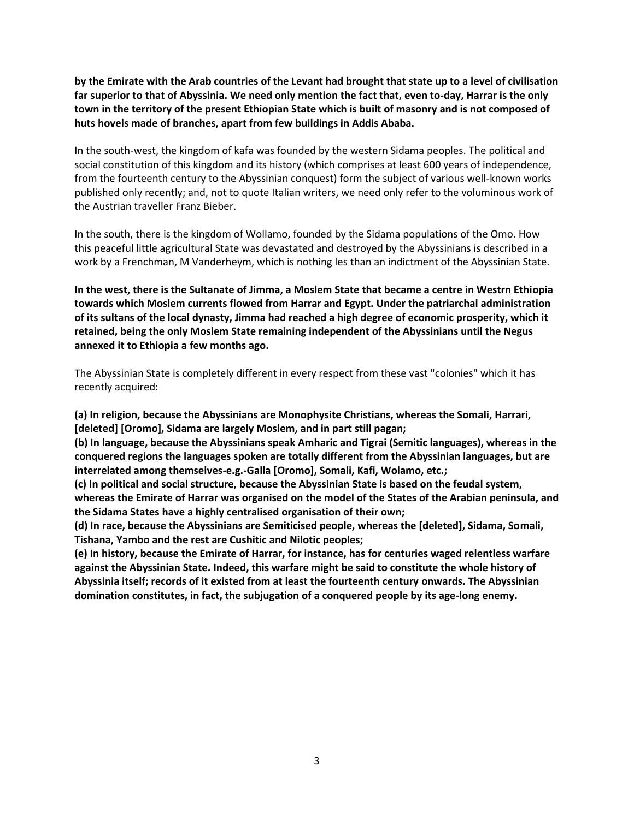**by the Emirate with the Arab countries of the Levant had brought that state up to a level of civilisation far superior to that of Abyssinia. We need only mention the fact that, even to-day, Harrar is the only town in the territory of the present Ethiopian State which is built of masonry and is not composed of huts hovels made of branches, apart from few buildings in Addis Ababa.** 

In the south-west, the kingdom of kafa was founded by the western Sidama peoples. The political and social constitution of this kingdom and its history (which comprises at least 600 years of independence, from the fourteenth century to the Abyssinian conquest) form the subject of various well-known works published only recently; and, not to quote Italian writers, we need only refer to the voluminous work of the Austrian traveller Franz Bieber.

In the south, there is the kingdom of Wollamo, founded by the Sidama populations of the Omo. How this peaceful little agricultural State was devastated and destroyed by the Abyssinians is described in a work by a Frenchman, M Vanderheym, which is nothing les than an indictment of the Abyssinian State.

**In the west, there is the Sultanate of Jimma, a Moslem State that became a centre in Westrn Ethiopia towards which Moslem currents flowed from Harrar and Egypt. Under the patriarchal administration of its sultans of the local dynasty, Jimma had reached a high degree of economic prosperity, which it retained, being the only Moslem State remaining independent of the Abyssinians until the Negus annexed it to Ethiopia a few months ago.** 

The Abyssinian State is completely different in every respect from these vast "colonies" which it has recently acquired:

**(a) In religion, because the Abyssinians are Monophysite Christians, whereas the Somali, Harrari, [deleted] [Oromo], Sidama are largely Moslem, and in part still pagan;** 

**(b) In language, because the Abyssinians speak Amharic and Tigrai (Semitic languages), whereas in the conquered regions the languages spoken are totally different from the Abyssinian languages, but are interrelated among themselves-e.g.-Galla [Oromo], Somali, Kafi, Wolamo, etc.;** 

**(c) In political and social structure, because the Abyssinian State is based on the feudal system, whereas the Emirate of Harrar was organised on the model of the States of the Arabian peninsula, and the Sidama States have a highly centralised organisation of their own;** 

**(d) In race, because the Abyssinians are Semiticised people, whereas the [deleted], Sidama, Somali, Tishana, Yambo and the rest are Cushitic and Nilotic peoples;** 

**(e) In history, because the Emirate of Harrar, for instance, has for centuries waged relentless warfare against the Abyssinian State. Indeed, this warfare might be said to constitute the whole history of Abyssinia itself; records of it existed from at least the fourteenth century onwards. The Abyssinian domination constitutes, in fact, the subjugation of a conquered people by its age-long enemy.**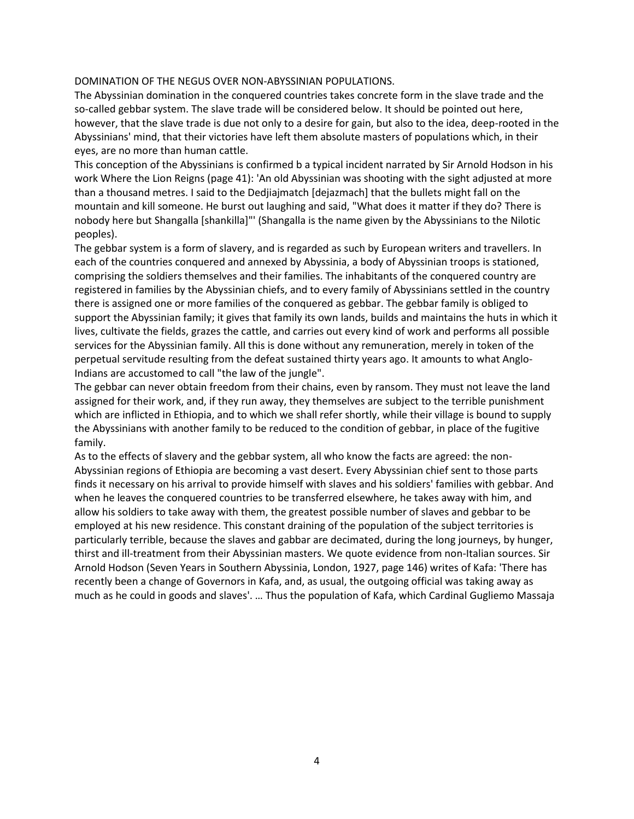#### DOMINATION OF THE NEGUS OVER NON-ABYSSINIAN POPULATIONS.

The Abyssinian domination in the conquered countries takes concrete form in the slave trade and the so-called gebbar system. The slave trade will be considered below. It should be pointed out here, however, that the slave trade is due not only to a desire for gain, but also to the idea, deep-rooted in the Abyssinians' mind, that their victories have left them absolute masters of populations which, in their eyes, are no more than human cattle.

This conception of the Abyssinians is confirmed b a typical incident narrated by Sir Arnold Hodson in his work Where the Lion Reigns (page 41): 'An old Abyssinian was shooting with the sight adjusted at more than a thousand metres. I said to the Dedjiajmatch [dejazmach] that the bullets might fall on the mountain and kill someone. He burst out laughing and said, "What does it matter if they do? There is nobody here but Shangalla [shankilla]"' (Shangalla is the name given by the Abyssinians to the Nilotic peoples).

The gebbar system is a form of slavery, and is regarded as such by European writers and travellers. In each of the countries conquered and annexed by Abyssinia, a body of Abyssinian troops is stationed, comprising the soldiers themselves and their families. The inhabitants of the conquered country are registered in families by the Abyssinian chiefs, and to every family of Abyssinians settled in the country there is assigned one or more families of the conquered as gebbar. The gebbar family is obliged to support the Abyssinian family; it gives that family its own lands, builds and maintains the huts in which it lives, cultivate the fields, grazes the cattle, and carries out every kind of work and performs all possible services for the Abyssinian family. All this is done without any remuneration, merely in token of the perpetual servitude resulting from the defeat sustained thirty years ago. It amounts to what Anglo-Indians are accustomed to call "the law of the jungle".

The gebbar can never obtain freedom from their chains, even by ransom. They must not leave the land assigned for their work, and, if they run away, they themselves are subject to the terrible punishment which are inflicted in Ethiopia, and to which we shall refer shortly, while their village is bound to supply the Abyssinians with another family to be reduced to the condition of gebbar, in place of the fugitive family.

As to the effects of slavery and the gebbar system, all who know the facts are agreed: the non-Abyssinian regions of Ethiopia are becoming a vast desert. Every Abyssinian chief sent to those parts finds it necessary on his arrival to provide himself with slaves and his soldiers' families with gebbar. And when he leaves the conquered countries to be transferred elsewhere, he takes away with him, and allow his soldiers to take away with them, the greatest possible number of slaves and gebbar to be employed at his new residence. This constant draining of the population of the subject territories is particularly terrible, because the slaves and gabbar are decimated, during the long journeys, by hunger, thirst and ill-treatment from their Abyssinian masters. We quote evidence from non-Italian sources. Sir Arnold Hodson (Seven Years in Southern Abyssinia, London, 1927, page 146) writes of Kafa: 'There has recently been a change of Governors in Kafa, and, as usual, the outgoing official was taking away as much as he could in goods and slaves'. … Thus the population of Kafa, which Cardinal Gugliemo Massaja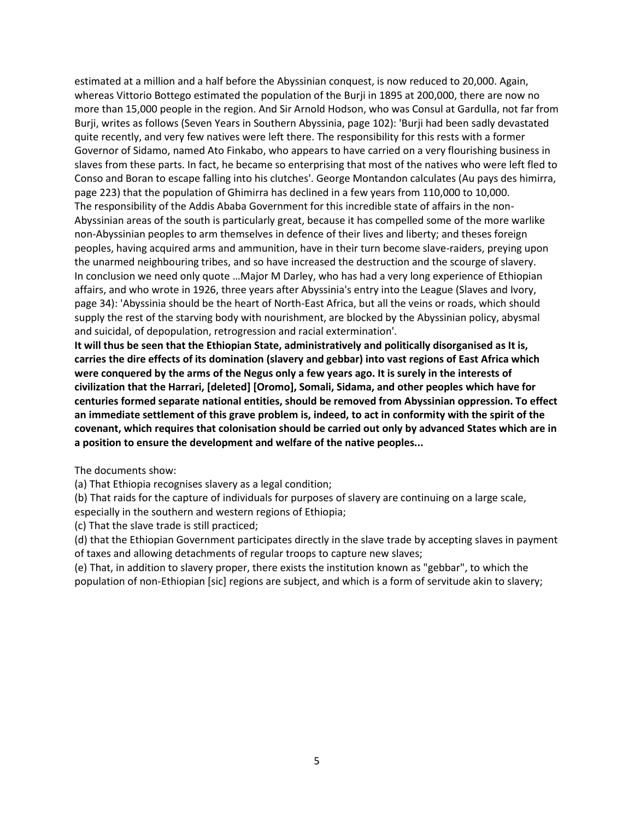estimated at a million and a half before the Abyssinian conquest, is now reduced to 20,000. Again, whereas Vittorio Bottego estimated the population of the Burji in 1895 at 200,000, there are now no more than 15,000 people in the region. And Sir Arnold Hodson, who was Consul at Gardulla, not far from Burji, writes as follows (Seven Years in Southern Abyssinia, page 102): 'Burji had been sadly devastated quite recently, and very few natives were left there. The responsibility for this rests with a former Governor of Sidamo, named Ato Finkabo, who appears to have carried on a very flourishing business in slaves from these parts. In fact, he became so enterprising that most of the natives who were left fled to Conso and Boran to escape falling into his clutches'. George Montandon calculates (Au pays des himirra, page 223) that the population of Ghimirra has declined in a few years from 110,000 to 10,000. The responsibility of the Addis Ababa Government for this incredible state of affairs in the non-Abyssinian areas of the south is particularly great, because it has compelled some of the more warlike non-Abyssinian peoples to arm themselves in defence of their lives and liberty; and theses foreign peoples, having acquired arms and ammunition, have in their turn become slave-raiders, preying upon the unarmed neighbouring tribes, and so have increased the destruction and the scourge of slavery. In conclusion we need only quote …Major M Darley, who has had a very long experience of Ethiopian affairs, and who wrote in 1926, three years after Abyssinia's entry into the League (Slaves and Ivory, page 34): 'Abyssinia should be the heart of North-East Africa, but all the veins or roads, which should supply the rest of the starving body with nourishment, are blocked by the Abyssinian policy, abysmal and suicidal, of depopulation, retrogression and racial extermination'.

**It will thus be seen that the Ethiopian State, administratively and politically disorganised as It is, carries the dire effects of its domination (slavery and gebbar) into vast regions of East Africa which were conquered by the arms of the Negus only a few years ago. It is surely in the interests of civilization that the Harrari, [deleted] [Oromo], Somali, Sidama, and other peoples which have for centuries formed separate national entities, should be removed from Abyssinian oppression. To effect an immediate settlement of this grave problem is, indeed, to act in conformity with the spirit of the covenant, which requires that colonisation should be carried out only by advanced States which are in a position to ensure the development and welfare of the native peoples...** 

The documents show:

(a) That Ethiopia recognises slavery as a legal condition;

(b) That raids for the capture of individuals for purposes of slavery are continuing on a large scale, especially in the southern and western regions of Ethiopia;

(c) That the slave trade is still practiced;

(d) that the Ethiopian Government participates directly in the slave trade by accepting slaves in payment of taxes and allowing detachments of regular troops to capture new slaves;

(e) That, in addition to slavery proper, there exists the institution known as "gebbar", to which the population of non-Ethiopian [sic] regions are subject, and which is a form of servitude akin to slavery;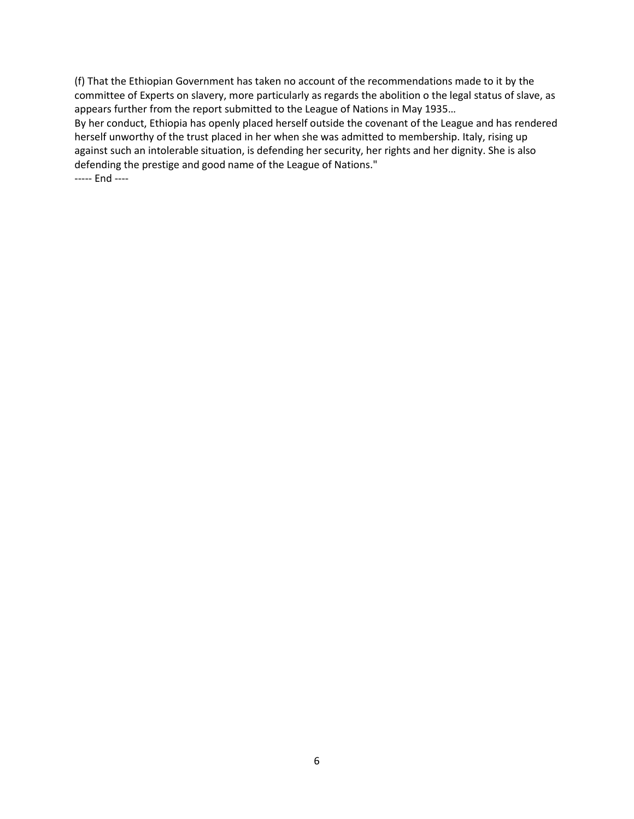(f) That the Ethiopian Government has taken no account of the recommendations made to it by the committee of Experts on slavery, more particularly as regards the abolition o the legal status of slave, as appears further from the report submitted to the League of Nations in May 1935…

By her conduct, Ethiopia has openly placed herself outside the covenant of the League and has rendered herself unworthy of the trust placed in her when she was admitted to membership. Italy, rising up against such an intolerable situation, is defending her security, her rights and her dignity. She is also defending the prestige and good name of the League of Nations."

----- End ----